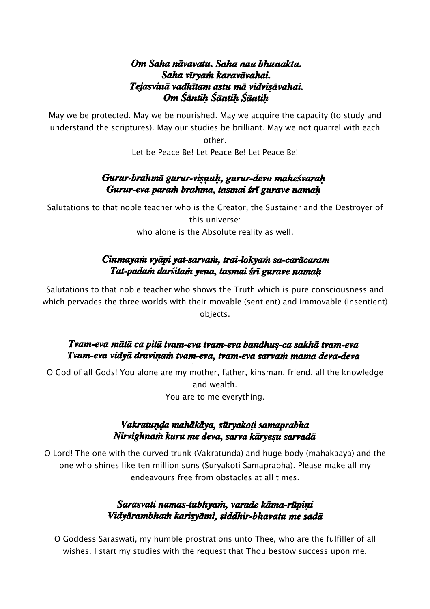#### Om Saha nāvavatu. Saha nau bhunaktu. Saha vīrvam karavāvahai. Tejasvinā vadhītam astu mā vidvisāvahai. Om Sāntiķ Sāntiķ Sāntiķ

May we be protected. May we be nourished. May we acquire the capacity (to study and understand the scriptures). May our studies be brilliant. May we not quarrel with each

> other. Let be Peace Be! Let Peace Be! Let Peace Be!

#### Gurur-brahmā gurur-visnuh, gurur-devo maheśvarah Gurur-eva param brahma, tasmai śrī gurave namah

Salutations to that noble teacher who is the Creator, the Sustainer and the Destroyer of this universe: who alone is the Absolute reality as well.

# Cinmayam vyāpi yat-sarvam, trai-lokyam sa-carācaram Tat-padam darśitam yena, tasmai śrī gurave namah

Salutations to that noble teacher who shows the Truth which is pure consciousness and which pervades the three worlds with their movable (sentient) and immovable (insentient) objects.

#### Tvam-eva mātā ca pitā tvam-eva tvam-eva bandhus-ca sakhā tvam-eva Tvam-eva vidyā draviņam tvam-eva, tvam-eva sarvam mama deva-deva

O God of all Gods! You alone are my mother, father, kinsman, friend, all the knowledge and wealth. You are to me everything.

### Vakratunda mahākāva, sūrvakoti samaprabha Nirvighnam kuru me deva, sarva kāryesu sarvadā

O Lord! The one with the curved trunk (Vakratunda) and huge body (mahakaaya) and the one who shines like ten million suns (Suryakoti Samaprabha). Please make all my endeavours free from obstacles at all times.

# Sarasvati namas-tubhvam, varade kāma-rūpini Vidyārambham karisyāmi, siddhir-bhavatu me sadā

O Goddess Saraswati, my humble prostrations unto Thee, who are the fulfiller of all wishes. I start my studies with the request that Thou bestow success upon me.